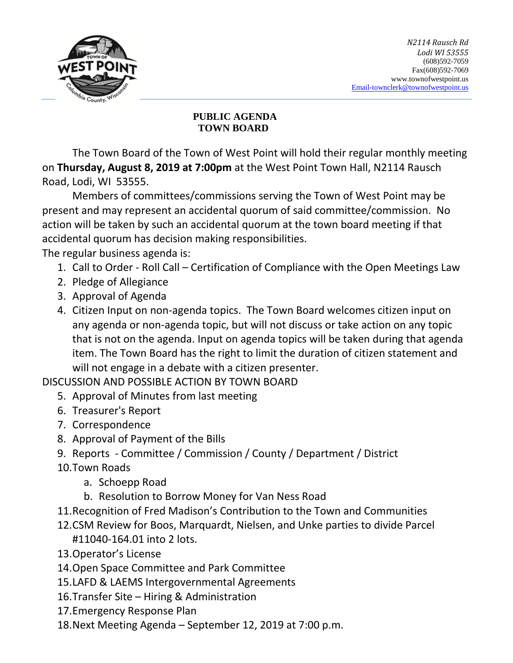

## **PUBLIC AGENDA TOWN BOARD**

The Town Board of the Town of West Point will hold their regular monthly meeting on **Thursday, August 8, 2019 at 7:00pm** at the West Point Town Hall, N2114 Rausch Road, Lodi, WI 53555.

Members of committees/commissions serving the Town of West Point may be present and may represent an accidental quorum of said committee/commission. No action will be taken by such an accidental quorum at the town board meeting if that accidental quorum has decision making responsibilities.

The regular business agenda is:

- 1. Call to Order Roll Call Certification of Compliance with the Open Meetings Law
- 2. Pledge of Allegiance
- 3. Approval of Agenda
- 4. Citizen Input on non-agenda topics. The Town Board welcomes citizen input on any agenda or non-agenda topic, but will not discuss or take action on any topic that is not on the agenda. Input on agenda topics will be taken during that agenda item. The Town Board has the right to limit the duration of citizen statement and will not engage in a debate with a citizen presenter.

DISCUSSION AND POSSIBLE ACTION BY TOWN BOARD

- 5. Approval of Minutes from last meeting
- 6. Treasurer's Report
- 7. Correspondence
- 8. Approval of Payment of the Bills
- 9. Reports Committee / Commission / County / Department / District
- 10.Town Roads
	- a. Schoepp Road
	- b. Resolution to Borrow Money for Van Ness Road
- 11.Recognition of Fred Madison's Contribution to the Town and Communities
- 12.CSM Review for Boos, Marquardt, Nielsen, and Unke parties to divide Parcel #11040-164.01 into 2 lots.
- 13.Operator's License
- 14.Open Space Committee and Park Committee
- 15.LAFD & LAEMS Intergovernmental Agreements
- 16.Transfer Site Hiring & Administration
- 17.Emergency Response Plan
- 18.Next Meeting Agenda September 12, 2019 at 7:00 p.m.